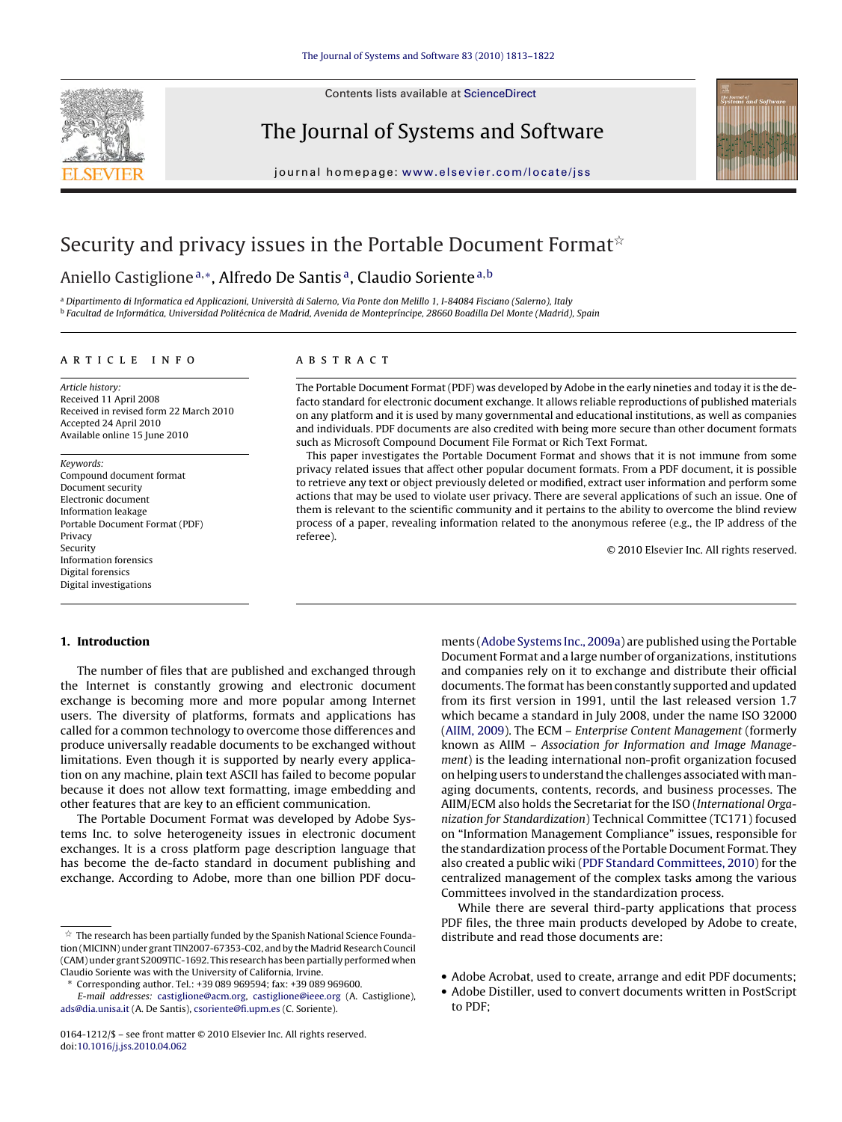

Contents lists available at [ScienceDirect](http://www.sciencedirect.com/science/journal/01641212)

# The Journal of Systems and Software



journal homepage: [www.elsevier.com/locate/jss](http://www.elsevier.com/locate/jss)

# Security and privacy issues in the Portable Document Format $\dot{\tilde{}}$

## Aniello Castiglione<sup>a,∗</sup>, Alfredo De Santis<sup>a</sup>, Claudio Soriente<sup>a,b</sup>

<sup>a</sup> Dipartimento di Informatica ed Applicazioni, Università di Salerno, Via Ponte don Melillo 1, I-84084 Fisciano (Salerno), Italy <sup>b</sup> Facultad de Informática, Universidad Politécnica de Madrid, Avenida de Montepríncipe, 28660 Boadilla Del Monte (Madrid), Spain

## article info

Article history: Received 11 April 2008 Received in revised form 22 March 2010 Accepted 24 April 2010 Available online 15 June 2010

## Keywords:

Compound document format Document security Electronic document Information leakage Portable Document Format (PDF) Privacy Security Information forensics Digital forensics Digital investigations

## ABSTRACT

The Portable Document Format (PDF) was developed by Adobe in the early nineties and today it is the defacto standard for electronic document exchange. It allows reliable reproductions of published materials on any platform and it is used by many governmental and educational institutions, as well as companies and individuals. PDF documents are also credited with being more secure than other document formats such as Microsoft Compound Document File Format or Rich Text Format.

This paper investigates the Portable Document Format and shows that it is not immune from some privacy related issues that affect other popular document formats. From a PDF document, it is possible to retrieve any text or object previously deleted or modified, extract user information and perform some actions that may be used to violate user privacy. There are several applications of such an issue. One of them is relevant to the scientific community and it pertains to the ability to overcome the blind review process of a paper, revealing information related to the anonymous referee (e.g., the IP address of the referee).

© 2010 Elsevier Inc. All rights reserved.

## **1. Introduction**

The number of files that are published and exchanged through the Internet is constantly growing and electronic document exchange is becoming more and more popular among Internet users. The diversity of platforms, formats and applications has called for a common technology to overcome those differences and produce universally readable documents to be exchanged without limitations. Even though it is supported by nearly every application on any machine, plain text ASCII has failed to become popular because it does not allow text formatting, image embedding and other features that are key to an efficient communication.

The Portable Document Format was developed by Adobe Systems Inc. to solve heterogeneity issues in electronic document exchanges. It is a cross platform page description language that has become the de-facto standard in document publishing and exchange. According to Adobe, more than one billion PDF docu-

ments ([Adobe Systems Inc., 2009a\) a](#page-8-0)re published using the Portable Document Format and a large number of organizations, institutions and companies rely on it to exchange and distribute their official documents. The format has been constantly supported and updated from its first version in 1991, until the last released version 1.7 which became a standard in July 2008, under the name ISO 32000 [\(AIIM, 2009\).](#page-8-0) The ECM – Enterprise Content Management (formerly known as AIIM – Association for Information and Image Management) is the leading international non-profit organization focused on helping users to understand the challenges associated withmanaging documents, contents, records, and business processes. The AIIM/ECM also holds the Secretariat for the ISO (International Organization for Standardization) Technical Committee (TC171) focused on "Information Management Compliance" issues, responsible for the standardization process of the Portable Document Format. They also created a public wiki [\(PDF Standard Committees, 2010\) f](#page-8-0)or the centralized management of the complex tasks among the various Committees involved in the standardization process.

While there are several third-party applications that process PDF files, the three main products developed by Adobe to create, distribute and read those documents are:

- Adobe Acrobat, used to create, arrange and edit PDF documents;
- Adobe Distiller, used to convert documents written in PostScript to PDF;

 $^\star$  The research has been partially funded by the Spanish National Science Foundation (MICINN) under grant TIN2007-67353-C02, and by the Madrid Research Council (CAM) under grant S2009TIC-1692. This research has been partially performed when Claudio Soriente was with the University of California, Irvine.

<sup>∗</sup> Corresponding author. Tel.: +39 089 969594; fax: +39 089 969600.

E-mail addresses: [castiglione@acm.org,](mailto:castiglione@acm.org) [castiglione@ieee.org](mailto:castiglione@ieee.org) (A. Castiglione), [ads@dia.unisa.it](mailto:ads@dia.unisa.it) (A. De Santis), [csoriente@fi.upm.es](mailto:csoriente@fi.upm.es) (C. Soriente).

<sup>0164-1212/\$ –</sup> see front matter © 2010 Elsevier Inc. All rights reserved. doi:[10.1016/j.jss.2010.04.062](dx.doi.org/10.1016/j.jss.2010.04.062)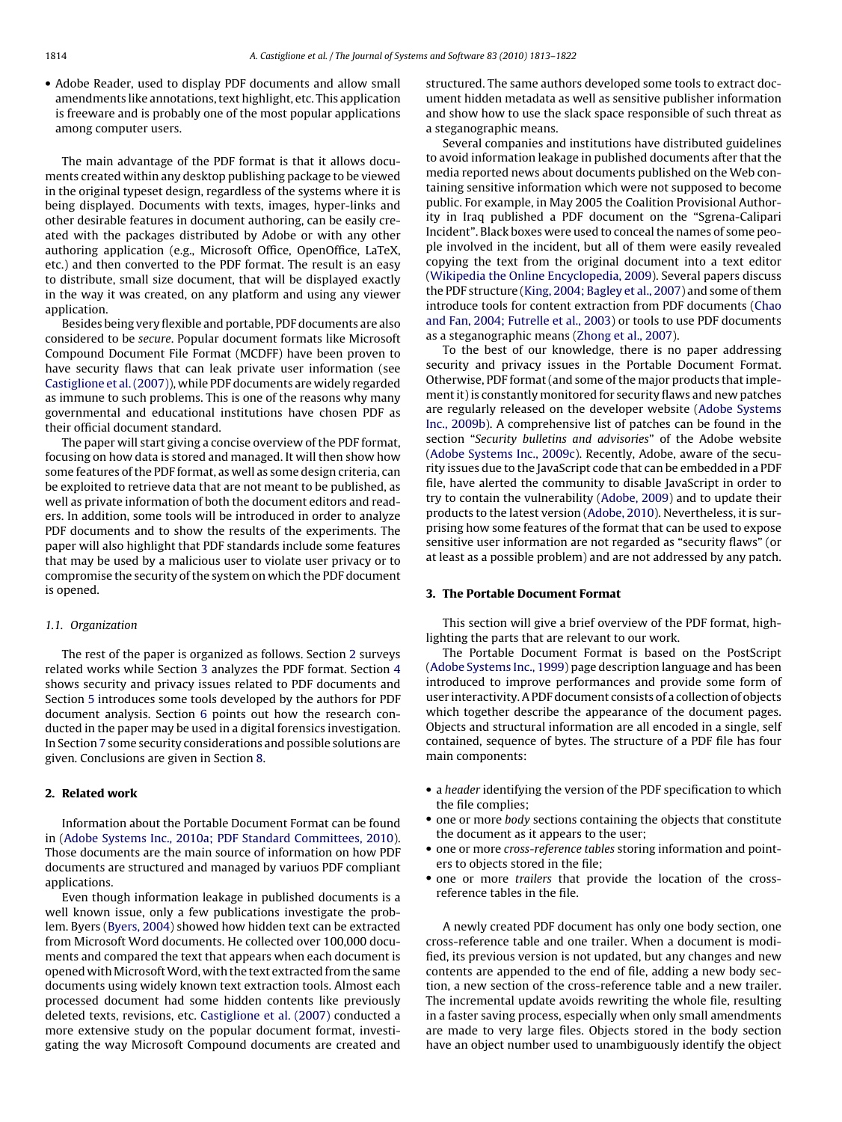<span id="page-1-0"></span>• Adobe Reader, used to display PDF documents and allow small amendments like annotations, text highlight, etc. This application is freeware and is probably one of the most popular applications among computer users.

The main advantage of the PDF format is that it allows documents created within any desktop publishing package to be viewed in the original typeset design, regardless of the systems where it is being displayed. Documents with texts, images, hyper-links and other desirable features in document authoring, can be easily created with the packages distributed by Adobe or with any other authoring application (e.g., Microsoft Office, OpenOffice, LaTeX, etc.) and then converted to the PDF format. The result is an easy to distribute, small size document, that will be displayed exactly in the way it was created, on any platform and using any viewer application.

Besides being very flexible and portable, PDF documents are also considered to be secure. Popular document formats like Microsoft Compound Document File Format (MCDFF) have been proven to have security flaws that can leak private user information (see [Castiglione et al. \(2007\)\),](#page-8-0) while PDF documents are widely regarded as immune to such problems. This is one of the reasons why many governmental and educational institutions have chosen PDF as their official document standard.

The paper will start giving a concise overview of the PDF format, focusing on how data is stored and managed. It will then show how some features of the PDF format, as well as some design criteria, can be exploited to retrieve data that are not meant to be published, as well as private information of both the document editors and readers. In addition, some tools will be introduced in order to analyze PDF documents and to show the results of the experiments. The paper will also highlight that PDF standards include some features that may be used by a malicious user to violate user privacy or to compromise the security of the system on which the PDF document is opened.

## 1.1. Organization

The rest of the paper is organized as follows. Section 2 surveys related works while Section 3 analyzes the PDF format. Section [4](#page-2-0) shows security and privacy issues related to PDF documents and Section [5](#page-6-0) introduces some tools developed by the authors for PDF document analysis. Section [6](#page-6-0) points out how the research conducted in the paper may be used in a digital forensics investigation. In Section [7](#page-7-0) some security considerations and possible solutions are given. Conclusions are given in Section [8.](#page-8-0)

## **2. Related work**

Information about the Portable Document Format can be found in [\(Adobe Systems Inc., 2010a; PDF Standard Committees, 2010\).](#page-8-0) Those documents are the main source of information on how PDF documents are structured and managed by variuos PDF compliant applications.

Even though information leakage in published documents is a well known issue, only a few publications investigate the problem. Byers [\(Byers, 2004\)](#page-8-0) showed how hidden text can be extracted from Microsoft Word documents. He collected over 100,000 documents and compared the text that appears when each document is opened with Microsoft Word, with the text extracted from the same documents using widely known text extraction tools. Almost each processed document had some hidden contents like previously deleted texts, revisions, etc. [Castiglione et al. \(2007\)](#page-8-0) conducted a more extensive study on the popular document format, investigating the way Microsoft Compound documents are created and

structured. The same authors developed some tools to extract document hidden metadata as well as sensitive publisher information and show how to use the slack space responsible of such threat as a steganographic means.

Several companies and institutions have distributed guidelines to avoid information leakage in published documents after that the media reported news about documents published on the Web containing sensitive information which were not supposed to become public. For example, in May 2005 the Coalition Provisional Authority in Iraq published a PDF document on the "Sgrena-Calipari Incident". Black boxes were used to conceal the names of some people involved in the incident, but all of them were easily revealed copying the text from the original document into a text editor [\(Wikipedia the Online Encyclopedia, 2009\).](#page-8-0) Several papers discuss the PDF structure [\(King, 2004; Bagley et al., 2007\) a](#page-8-0)nd some of them introduce tools for content extraction from PDF documents ([Chao](#page-8-0) [and Fan, 2004; Futrelle et al., 2003\)](#page-8-0) or tools to use PDF documents as a steganographic means [\(Zhong et al., 2007\).](#page-8-0)

To the best of our knowledge, there is no paper addressing security and privacy issues in the Portable Document Format. Otherwise, PDF format (and some of the major products that implement it) is constantly monitored for security flaws and new patches are regularly released on the developer website [\(Adobe Systems](#page-8-0) [Inc., 2009b\).](#page-8-0) A comprehensive list of patches can be found in the section "Security bulletins and advisories" of the Adobe website [\(Adobe Systems Inc., 2009c\).](#page-8-0) Recently, Adobe, aware of the security issues due to the JavaScript code that can be embedded in a PDF file, have alerted the community to disable JavaScript in order to try to contain the vulnerability [\(Adobe, 2009\)](#page-8-0) and to update their products to the latest version ([Adobe, 2010\).](#page-8-0) Nevertheless, it is surprising how some features of the format that can be used to expose sensitive user information are not regarded as "security flaws" (or at least as a possible problem) and are not addressed by any patch.

## **3. The Portable Document Format**

This section will give a brief overview of the PDF format, highlighting the parts that are relevant to our work.

The Portable Document Format is based on the PostScript [\(Adobe Systems Inc., 1999\) p](#page-8-0)age description language and has been introduced to improve performances and provide some form of user interactivity. A PDF document consists of a collection of objects which together describe the appearance of the document pages. Objects and structural information are all encoded in a single, self contained, sequence of bytes. The structure of a PDF file has four main components:

- a header identifying the version of the PDF specification to which the file complies;
- one or more body sections containing the objects that constitute the document as it appears to the user;
- one or more cross-reference tables storing information and pointers to objects stored in the file;
- one or more trailers that provide the location of the crossreference tables in the file.

A newly created PDF document has only one body section, one cross-reference table and one trailer. When a document is modified, its previous version is not updated, but any changes and new contents are appended to the end of file, adding a new body section, a new section of the cross-reference table and a new trailer. The incremental update avoids rewriting the whole file, resulting in a faster saving process, especially when only small amendments are made to very large files. Objects stored in the body section have an object number used to unambiguously identify the object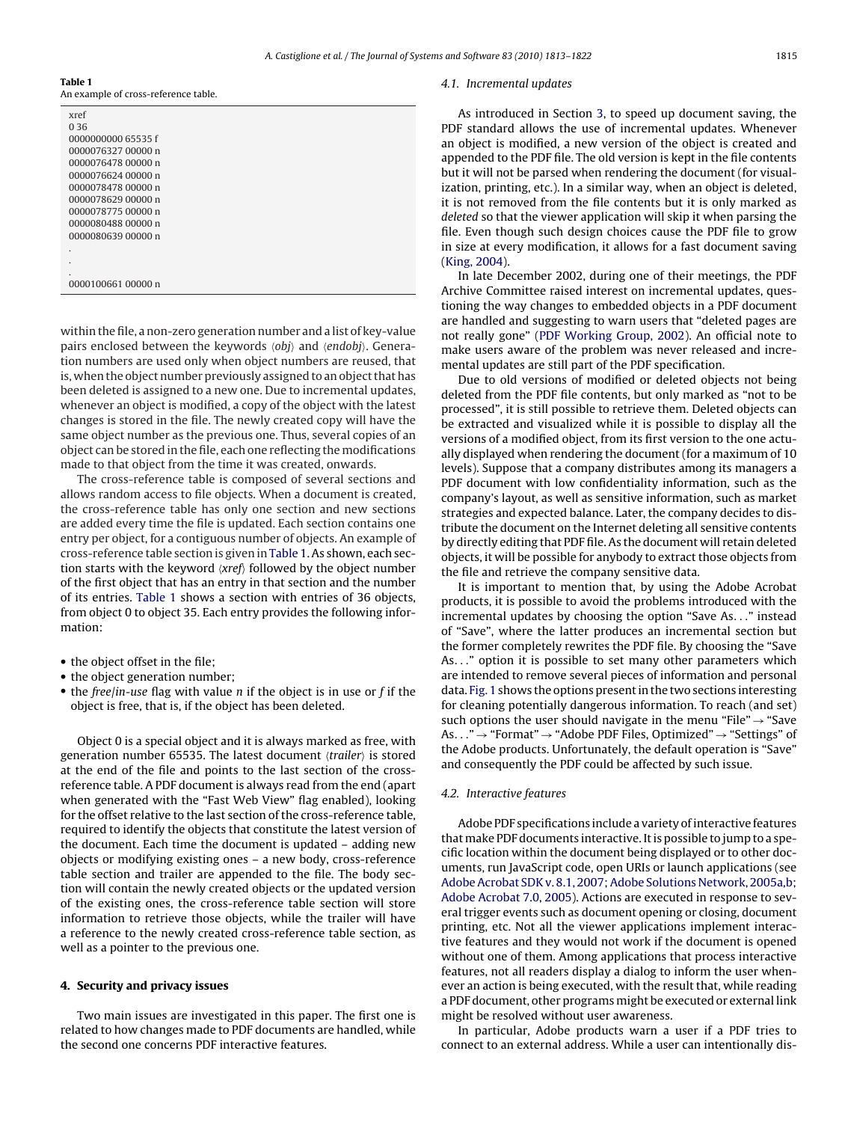#### <span id="page-2-0"></span>**Table 1**

An example of cross-reference table.

| xref               |
|--------------------|
| 0.36               |
| 0000000000 65535 f |
| 0000076327 00000 n |
| 0000076478 00000 n |
| 0000076624 00000 n |
| 0000078478 00000 n |
| 0000078629 00000 n |
| 0000078775 00000 n |
| 0000080488 00000 n |
| 0000080639 00000 n |
| ٠                  |
| ٠                  |
| ٠                  |
| 0000100661 00000 n |
|                    |

within the file, a non-zero generation number and a list of key-value pairs enclosed between the keywords  $\langle obj \rangle$  and  $\langle endobj \rangle$ . Generation numbers are used only when object numbers are reused, that is, when the object number previously assigned to an object that has been deleted is assigned to a new one. Due to incremental updates, whenever an object is modified, a copy of the object with the latest changes is stored in the file. The newly created copy will have the same object number as the previous one. Thus, several copies of an object can be stored in the file, each one reflecting the modifications made to that object from the time it was created, onwards.

The cross-reference table is composed of several sections and allows random access to file objects. When a document is created, the cross-reference table has only one section and new sections are added every time the file is updated. Each section contains one entry per object, for a contiguous number of objects. An example of cross-reference table section is given in Table 1. As shown, each section starts with the keyword  $\langle xref \rangle$  followed by the object number of the first object that has an entry in that section and the number of its entries. Table 1 shows a section with entries of 36 objects, from object 0 to object 35. Each entry provides the following information:

- the object offset in the file;
- the object generation number;
- $\bullet$  the *free/in-use* flag with value *n* if the object is in use or *f* if the object is free, that is, if the object has been deleted.

Object 0 is a special object and it is always marked as free, with generation number 65535. The latest document  $\langle\text{trailer}\rangle$  is stored at the end of the file and points to the last section of the crossreference table. A PDF document is always read from the end (apart when generated with the "Fast Web View" flag enabled), looking for the offset relative to the last section of the cross-reference table, required to identify the objects that constitute the latest version of the document. Each time the document is updated – adding new objects or modifying existing ones – a new body, cross-reference table section and trailer are appended to the file. The body section will contain the newly created objects or the updated version of the existing ones, the cross-reference table section will store information to retrieve those objects, while the trailer will have a reference to the newly created cross-reference table section, as well as a pointer to the previous one.

## **4. Security and privacy issues**

Two main issues are investigated in this paper. The first one is related to how changes made to PDF documents are handled, while the second one concerns PDF interactive features.

#### 4.1. Incremental updates

As introduced in Section [3, t](#page-1-0)o speed up document saving, the PDF standard allows the use of incremental updates. Whenever an object is modified, a new version of the object is created and appended to the PDF file. The old version is kept in the file contents but it will not be parsed when rendering the document (for visualization, printing, etc.). In a similar way, when an object is deleted, it is not removed from the file contents but it is only marked as deleted so that the viewer application will skip it when parsing the file. Even though such design choices cause the PDF file to grow in size at every modification, it allows for a fast document saving [\(King, 2004\).](#page-8-0)

In late December 2002, during one of their meetings, the PDF Archive Committee raised interest on incremental updates, questioning the way changes to embedded objects in a PDF document are handled and suggesting to warn users that "deleted pages are not really gone" ([PDF Working Group, 2002\).](#page-8-0) An official note to make users aware of the problem was never released and incremental updates are still part of the PDF specification.

Due to old versions of modified or deleted objects not being deleted from the PDF file contents, but only marked as "not to be processed", it is still possible to retrieve them. Deleted objects can be extracted and visualized while it is possible to display all the versions of a modified object, from its first version to the one actually displayed when rendering the document (for a maximum of 10 levels). Suppose that a company distributes among its managers a PDF document with low confidentiality information, such as the company's layout, as well as sensitive information, such as market strategies and expected balance. Later, the company decides to distribute the document on the Internet deleting all sensitive contents by directly editing that PDF file. As the document will retain deleted objects, it will be possible for anybody to extract those objects from the file and retrieve the company sensitive data.

It is important to mention that, by using the Adobe Acrobat products, it is possible to avoid the problems introduced with the incremental updates by choosing the option "Save As..." instead of "Save", where the latter produces an incremental section but the former completely rewrites the PDF file. By choosing the "Save As..." option it is possible to set many other parameters which are intended to remove several pieces of information and personal data. [Fig. 1](#page-3-0) shows the options present in the two sections interesting for cleaning potentially dangerous information. To reach (and set) such options the user should navigate in the menu "File" $\rightarrow$  "Save As..."→"Format"→"Adobe PDF Files, Optimized"→"Settings" of the Adobe products. Unfortunately, the default operation is "Save" and consequently the PDF could be affected by such issue.

## 4.2. Interactive features

Adobe PDF specifications include a variety of interactive features that make PDF documents interactive. It is possible to jump to a specific location within the document being displayed or to other documents, run JavaScript code, open URIs or launch applications (see [Adobe Acrobat SDK v. 8.1, 2007; Adobe Solutions Network, 2005a,b;](#page-8-0) [Adobe Acrobat 7.0, 2005\).](#page-8-0) Actions are executed in response to several trigger events such as document opening or closing, document printing, etc. Not all the viewer applications implement interactive features and they would not work if the document is opened without one of them. Among applications that process interactive features, not all readers display a dialog to inform the user whenever an action is being executed, with the result that, while reading a PDF document, other programs might be executed or external link might be resolved without user awareness.

In particular, Adobe products warn a user if a PDF tries to connect to an external address. While a user can intentionally dis-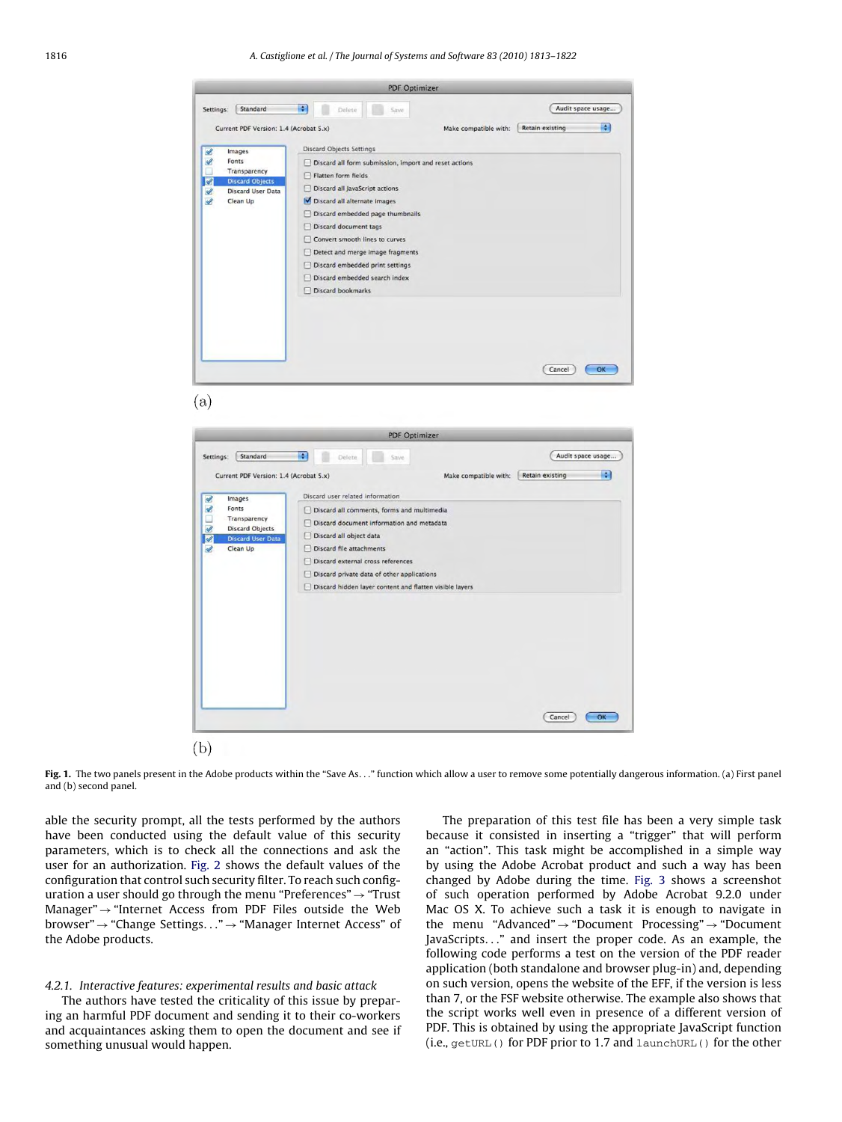<span id="page-3-0"></span>

**Fig. 1.** The two panels present in the Adobe products within the "Save As..." function which allow a user to remove some potentially dangerous information. (a) First panel and (b) second panel.

able the security prompt, all the tests performed by the authors have been conducted using the default value of this security parameters, which is to check all the connections and ask the user for an authorization. [Fig. 2](#page-4-0) shows the default values of the configuration that control such security filter. To reach such configuration a user should go through the menu "Preferences"  $\rightarrow$  "Trust" Manager"→"Internet Access from PDF Files outside the Web browser"→"Change Settings..."→"Manager Internet Access" of the Adobe products.

## 4.2.1. Interactive features: experimental results and basic attack

The authors have tested the criticality of this issue by preparing an harmful PDF document and sending it to their co-workers and acquaintances asking them to open the document and see if something unusual would happen.

The preparation of this test file has been a very simple task because it consisted in inserting a "trigger" that will perform an "action". This task might be accomplished in a simple way by using the Adobe Acrobat product and such a way has been changed by Adobe during the time. [Fig. 3](#page-4-0) shows a screenshot of such operation performed by Adobe Acrobat 9.2.0 under Mac OS X. To achieve such a task it is enough to navigate in the menu "Advanced"→"Document Processing"→"Document JavaScripts..." and insert the proper code. As an example, the following code performs a test on the version of the PDF reader application (both standalone and browser plug-in) and, depending on such version, opens the website of the EFF, if the version is less than 7, or the FSF website otherwise. The example also shows that the script works well even in presence of a different version of PDF. This is obtained by using the appropriate JavaScript function (i.e., getURL() for PDF prior to 1.7 and launchURL() for the other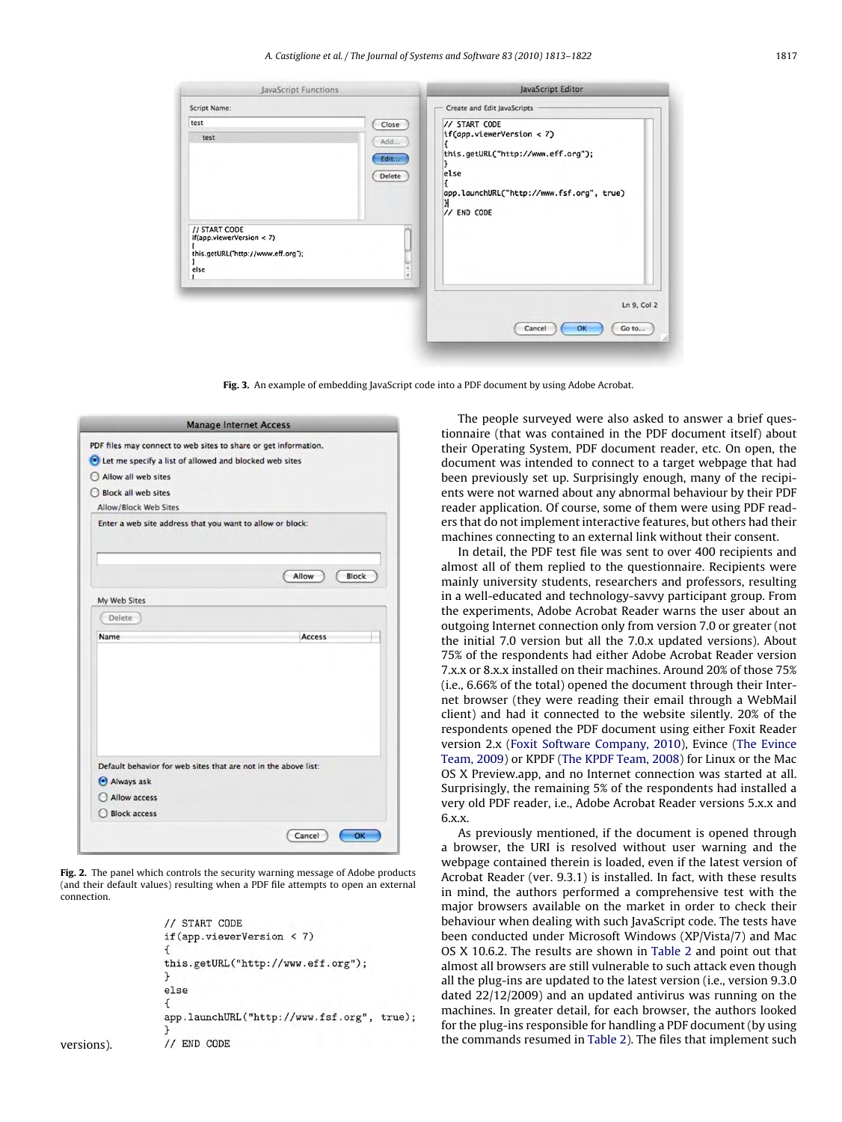<span id="page-4-0"></span>

| JavaScript Functions                                                                        |                                | JavaScript Editor                                                                                                                                         |  |
|---------------------------------------------------------------------------------------------|--------------------------------|-----------------------------------------------------------------------------------------------------------------------------------------------------------|--|
| Script Name:                                                                                |                                | Create and Edit JavaScripts                                                                                                                               |  |
| test<br>test                                                                                | Close<br>Add<br>Edit<br>Delete | // START CODE<br>if(app.viewerVersion < 7)<br>this.getURL("http://www.eff.org");<br>else<br>app.launchURL("http://www.fsf.org", true)<br>К<br>// END CODE |  |
| // START CODE<br>$if$ (app.viewerVersion < 7)<br>this.getURL("http://www.eff.org");<br>else | $\frac{1}{\tau}$               |                                                                                                                                                           |  |
|                                                                                             |                                | Ln 9, Col 2<br>Go to<br>Cancel<br>OK                                                                                                                      |  |

Fig. 3. An example of embedding JavaScript code into a PDF document by using Adobe Acrobat.

|                                                                 | <b>Manage Internet Access</b> |
|-----------------------------------------------------------------|-------------------------------|
| PDF files may connect to web sites to share or get information. |                               |
| Let me specify a list of allowed and blocked web sites          |                               |
| Allow all web sites                                             |                               |
| <b>Block all web sites</b>                                      |                               |
| Allow/Block Web Sites                                           |                               |
| Enter a web site address that you want to allow or block:       |                               |
|                                                                 | Block<br>Allow                |
| My Web Sites                                                    |                               |
| Delete                                                          |                               |
| Name                                                            | Access                        |
| Default behavior for web sites that are not in the above list:  |                               |
| Always ask<br>Allow access                                      |                               |
| <b>Block access</b>                                             |                               |
|                                                                 |                               |
|                                                                 |                               |

Fig. 2. The panel which controls the security warning message of Adobe products (and their default values) resulting when a PDF file attempts to open an external connection.

versions).

```
// START CODE
if(app.viewerVersion < 7)€
this.getURL("http://www.eff.org");
\mathbf{r}else
\mathbf{f}app.launchURL("http://www.fsf.org", true);
// END CODE
```
The people surveyed were also asked to answer a brief questionnaire (that was contained in the PDF document itself) about their Operating System, PDF document reader, etc. On open, the document was intended to connect to a target webpage that had been previously set up. Surprisingly enough, many of the recipients were not warned about any abnormal behaviour by their PDF reader application. Of course, some of them were using PDF readers that do not implement interactive features, but others had their machines connecting to an external link without their consent.

In detail, the PDF test file was sent to over 400 recipients and almost all of them replied to the questionnaire. Recipients were mainly university students, researchers and professors, resulting in a well-educated and technology-savvy participant group. From the experiments, Adobe Acrobat Reader warns the user about an outgoing Internet connection only from version 7.0 or greater (not the initial 7.0 version but all the 7.0.x updated versions). About 75% of the respondents had either Adobe Acrobat Reader version 7.x.x or 8.x.x installed on their machines. Around 20% of those 75% (i.e., 6.66% of the total) opened the document through their Internet browser (they were reading their email through a WebMail client) and had it connected to the website silently. 20% of the respondents opened the PDF document using either Foxit Reader version 2.x [\(Foxit Software Company, 2010\),](#page-8-0) Evince [\(The Evince](#page-8-0) [Team, 2009\) o](#page-8-0)r KPDF ([The KPDF Team, 2008\)](#page-8-0) for Linux or the Mac OS X Preview.app, and no Internet connection was started at all. Surprisingly, the remaining 5% of the respondents had installed a very old PDF reader, i.e., Adobe Acrobat Reader versions 5.x.x and 6.x.x.

As previously mentioned, if the document is opened through a browser, the URI is resolved without user warning and the webpage contained therein is loaded, even if the latest version of Acrobat Reader (ver. 9.3.1) is installed. In fact, with these results in mind, the authors performed a comprehensive test with the major browsers available on the market in order to check their behaviour when dealing with such JavaScript code. The tests have been conducted under Microsoft Windows (XP/Vista/7) and Mac OS X 10.6.2. The results are shown in [Table 2](#page-5-0) and point out that almost all browsers are still vulnerable to such attack even though all the plug-ins are updated to the latest version (i.e., version 9.3.0 dated 22/12/2009) and an updated antivirus was running on the machines. In greater detail, for each browser, the authors looked for the plug-ins responsible for handling a PDF document (by using the commands resumed in [Table 2\).](#page-5-0) The files that implement such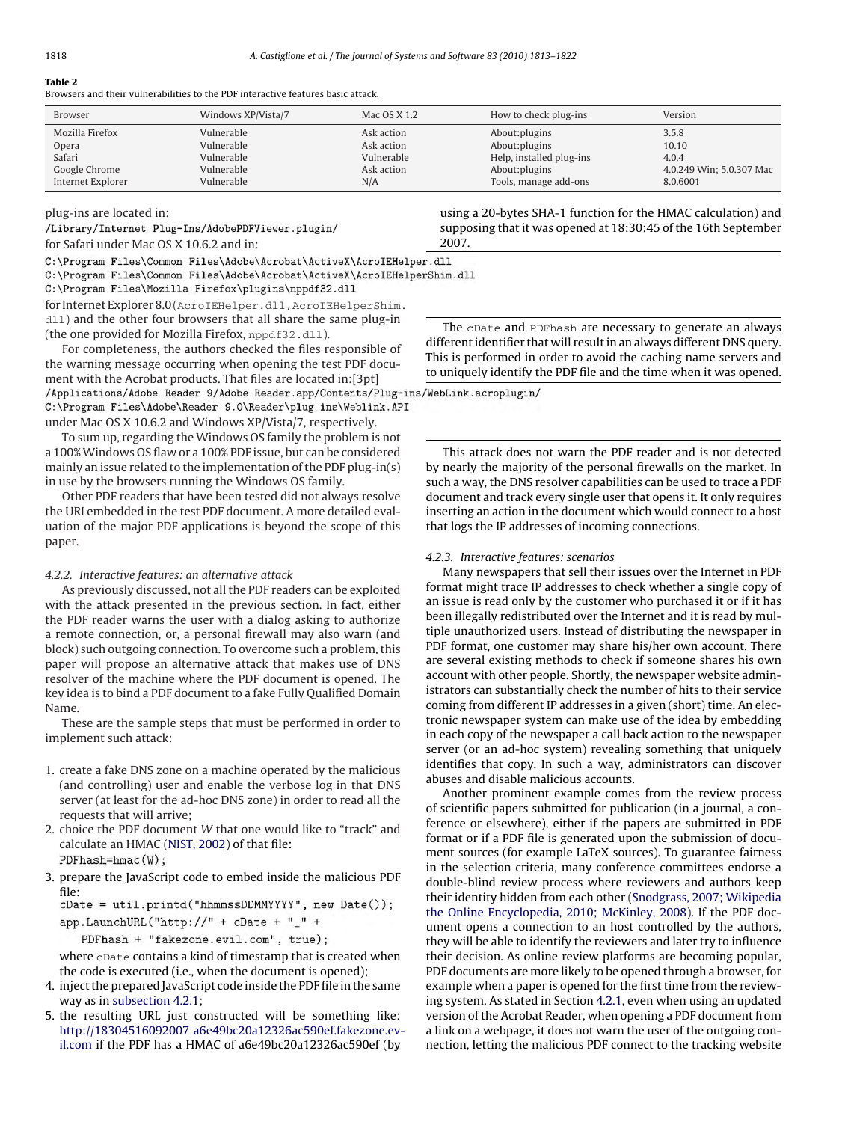## <span id="page-5-0"></span>**Table 2**

Browsers and their vulnerabilities to the PDF interactive features basic attack.

| <b>Browser</b>    | Windows XP/Vista/7 | Mac OS X 1.2 | How to check plug-ins    | Version                  |
|-------------------|--------------------|--------------|--------------------------|--------------------------|
| Mozilla Firefox   | Vulnerable         | Ask action   | About: plugins           | 3.5.8                    |
| Opera             | Vulnerable         | Ask action   | About: plugins           | 10.10                    |
| Safari            | Vulnerable         | Vulnerable   | Help, installed plug-ins | 4.0.4                    |
| Google Chrome     | Vulnerable         | Ask action   | About: plugins           | 4.0.249 Win; 5.0.307 Mac |
| Internet Explorer | Vulnerable         | N/A          | Tools, manage add-ons    | 8.0.6001                 |

plug-ins are located in:

/Library/Internet Plug-Ins/AdobePDFViewer.plugin/

for Safari under Mac OS X 10.6.2 and in:

C:\Program Files\Common Files\Adobe\Acrobat\ActiveX\AcroIEHelper.dll

C:\Program Files\Common Files\Adobe\Acrobat\ActiveX\AcroIEHelperShim.dll

C:\Program Files\Mozilla Firefox\plugins\nppdf32.dll

for Internet Explorer 8.0 (AcroIEHelper.dll, AcroIEHelperShim. dll) and the other four browsers that all share the same plug-in (the one provided for Mozilla Firefox, nppdf32.dll).

For completeness, the authors checked the files responsible of the warning message occurring when opening the test PDF document with the Acrobat products. That files are located in:[3pt] /Applications/Adobe Reader 9/Adobe Reader.app/Contents/Plug-ins/WebLink.acroplugin/ C:\Program Files\Adobe\Reader 9.0\Reader\plug\_ins\Weblink.API under Mac OS X 10.6.2 and Windows XP/Vista/7, respectively.

To sum up, regarding the Windows OS family the problem is not a 100% Windows OS flaw or a 100% PDF issue, but can be considered mainly an issue related to the implementation of the PDF plug-in(s) in use by the browsers running the Windows OS family.

Other PDF readers that have been tested did not always resolve the URI embedded in the test PDF document. A more detailed evaluation of the major PDF applications is beyond the scope of this paper.

## 4.2.2. Interactive features: an alternative attack

As previously discussed, not all the PDF readers can be exploited with the attack presented in the previous section. In fact, either the PDF reader warns the user with a dialog asking to authorize a remote connection, or, a personal firewall may also warn (and block) such outgoing connection. To overcome such a problem, this paper will propose an alternative attack that makes use of DNS resolver of the machine where the PDF document is opened. The key idea is to bind a PDF document to a fake Fully Qualified Domain Name.

These are the sample steps that must be performed in order to implement such attack:

- 1. create a fake DNS zone on a machine operated by the malicious (and controlling) user and enable the verbose log in that DNS server (at least for the ad-hoc DNS zone) in order to read all the requests that will arrive;
- 2. choice the PDF document W that one would like to "track" and calculate an HMAC ([NIST, 2002\) o](#page-8-0)f that file: PDFhash=hmac(W);
- 3. prepare the JavaScript code to embed inside the malicious PDF file:<br>cDate = util.printd("hhmmssDDMMYYYY", new Date());

 $app.LaunchURL("http://" + cDate + "__" +$ 

PDFhash + "fakezone.evil.com", true);

where cDate contains a kind of timestamp that is created when the code is executed (i.e., when the document is opened);

- 4. inject the prepared JavaScript code inside the PDF file in the same way as in [subsection 4.2.1;](#page-3-0)
- 5. the resulting URL just constructed will be something like: http://18304516092007 [a6e49bc20a12326ac590ef.fakezone.ev](http://18304516092007_a6e49bc20a12326ac590ef.fakezone.evil.com/)il.com if the PDF has a HMAC of a6e49bc20a12326ac590ef (by

using a 20-bytes SHA-1 function for the HMAC calculation) and supposing that it was opened at 18:30:45 of the 16th September 2007.

The cDate and PDFhash are necessary to generate an always different identifier that will result in an always different DNS query. This is performed in order to avoid the caching name servers and to uniquely identify the PDF file and the time when it was opened.

This attack does not warn the PDF reader and is not detected by nearly the majority of the personal firewalls on the market. In such a way, the DNS resolver capabilities can be used to trace a PDF document and track every single user that opens it. It only requires inserting an action in the document which would connect to a host that logs the IP addresses of incoming connections.

## 4.2.3. Interactive features: scenarios

Many newspapers that sell their issues over the Internet in PDF format might trace IP addresses to check whether a single copy of an issue is read only by the customer who purchased it or if it has been illegally redistributed over the Internet and it is read by multiple unauthorized users. Instead of distributing the newspaper in PDF format, one customer may share his/her own account. There are several existing methods to check if someone shares his own account with other people. Shortly, the newspaper website administrators can substantially check the number of hits to their service coming from different IP addresses in a given (short) time. An electronic newspaper system can make use of the idea by embedding in each copy of the newspaper a call back action to the newspaper server (or an ad-hoc system) revealing something that uniquely identifies that copy. In such a way, administrators can discover abuses and disable malicious accounts.

Another prominent example comes from the review process of scientific papers submitted for publication (in a journal, a conference or elsewhere), either if the papers are submitted in PDF format or if a PDF file is generated upon the submission of document sources (for example LaTeX sources). To guarantee fairness in the selection criteria, many conference committees endorse a double-blind review process where reviewers and authors keep their identity hidden from each other [\(Snodgrass, 2007; Wikipedia](#page-8-0) [the Online Encyclopedia, 2010; McKinley, 2008\).](#page-8-0) If the PDF document opens a connection to an host controlled by the authors, they will be able to identify the reviewers and later try to influence their decision. As online review platforms are becoming popular, PDF documents are more likely to be opened through a browser, for example when a paper is opened for the first time from the reviewing system. As stated in Section [4.2.1, e](#page-3-0)ven when using an updated version of the Acrobat Reader, when opening a PDF document from a link on a webpage, it does not warn the user of the outgoing connection, letting the malicious PDF connect to the tracking website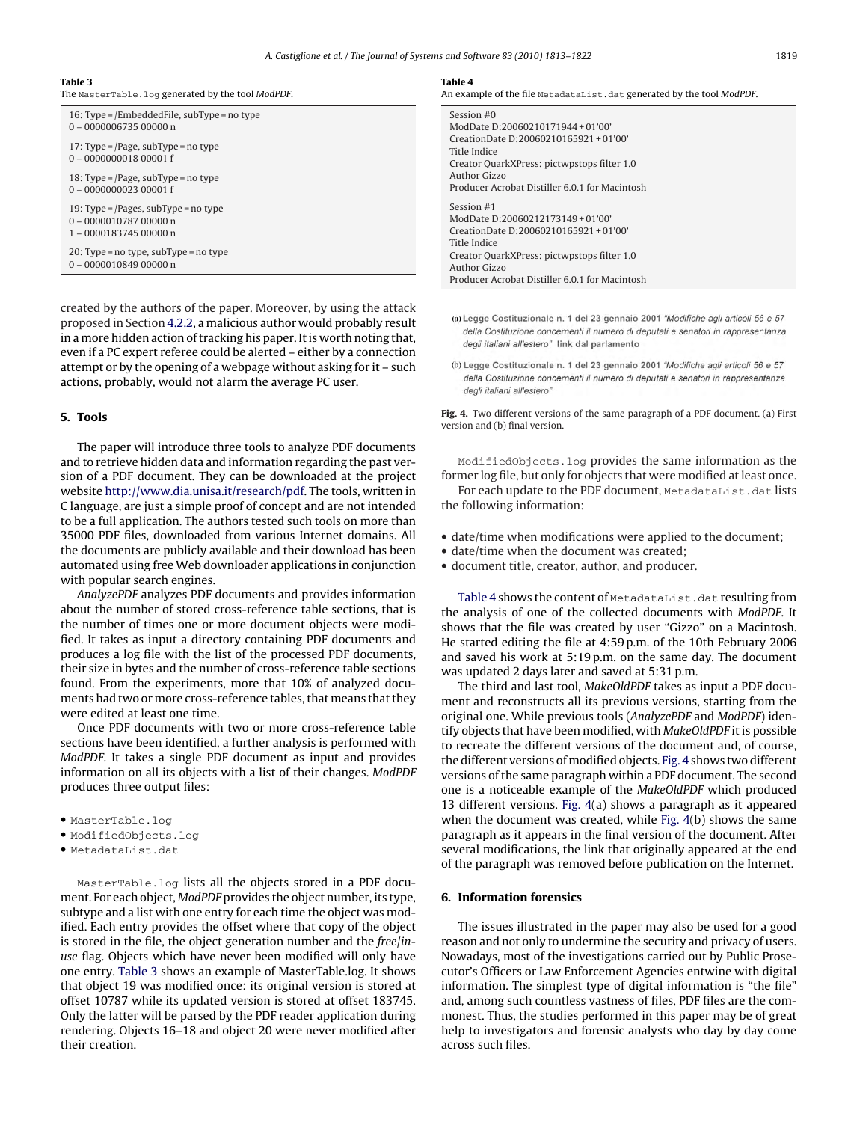#### <span id="page-6-0"></span>**Table 3**

| The MasterTable.log generated by the tool ModPDF. |
|---------------------------------------------------|
|---------------------------------------------------|

| 16: Type = /EmbeddedFile, subType = no type<br>$0 - 000000673500000$ n                            |  |
|---------------------------------------------------------------------------------------------------|--|
| 17: Type = $\text{Page}$ , subType = no type<br>$0 - 000000001800001f$                            |  |
| 18: Type = $\alpha$ Page, subType = no type<br>$0 - 000000002300001f$                             |  |
| 19: Type = $\alpha$ Pages, subType = no type<br>$0 - 000001078700000$ n<br>1 - 0000183745 00000 n |  |
| 20: Type = $no$ type, subType = $no$ type<br>$0 - 000001084900000 n$                              |  |

created by the authors of the paper. Moreover, by using the attack proposed in Section [4.2.2, a](#page-5-0) malicious author would probably result in a more hidden action of tracking his paper. It is worth noting that, even if a PC expert referee could be alerted – either by a connection attempt or by the opening of a webpage without asking for it – such actions, probably, would not alarm the average PC user.

#### **5. Tools**

The paper will introduce three tools to analyze PDF documents and to retrieve hidden data and information regarding the past version of a PDF document. They can be downloaded at the project website <http://www.dia.unisa.it/research/pdf>. The tools, written in C language, are just a simple proof of concept and are not intended to be a full application. The authors tested such tools on more than 35000 PDF files, downloaded from various Internet domains. All the documents are publicly available and their download has been automated using free Web downloader applications in conjunction with popular search engines.

AnalyzePDF analyzes PDF documents and provides information about the number of stored cross-reference table sections, that is the number of times one or more document objects were modified. It takes as input a directory containing PDF documents and produces a log file with the list of the processed PDF documents, their size in bytes and the number of cross-reference table sections found. From the experiments, more that 10% of analyzed documents had two or more cross-reference tables, that means that they were edited at least one time.

Once PDF documents with two or more cross-reference table sections have been identified, a further analysis is performed with ModPDF. It takes a single PDF document as input and provides information on all its objects with a list of their changes. ModPDF produces three output files:

- MasterTable.log
- ModifiedObjects.log
- MetadataList.dat

MasterTable.log lists all the objects stored in a PDF document. For each object, ModPDF provides the object number, its type, subtype and a list with one entry for each time the object was modified. Each entry provides the offset where that copy of the object is stored in the file, the object generation number and the free/inuse flag. Objects which have never been modified will only have one entry. Table 3 shows an example of MasterTable.log. It shows that object 19 was modified once: its original version is stored at offset 10787 while its updated version is stored at offset 183745. Only the latter will be parsed by the PDF reader application during rendering. Objects 16–18 and object 20 were never modified after their creation.

#### **Table 4**

An example of the file MetadataList.dat generated by the tool ModPDF.

| Session #0<br>ModDate D:20060210171944 + 01'00'<br>CreationDate D:20060210165921+01'00'<br>Title Indice<br>Creator QuarkXPress: pictwpstops filter 1.0<br>Author Gizzo     |
|----------------------------------------------------------------------------------------------------------------------------------------------------------------------------|
| Producer Acrobat Distiller 6.0.1 for Macintosh                                                                                                                             |
| Session $#1$<br>ModDate D:20060212173149 + 01'00'<br>CreationDate D:20060210165921 + 01'00'<br>Title Indice<br>Creator QuarkXPress: pictwpstops filter 1.0<br>Author Gizzo |
| Producer Acrobat Distiller 6.0.1 for Macintosh                                                                                                                             |
|                                                                                                                                                                            |

- (a) Legge Costituzionale n. 1 del 23 gennaio 2001 "Modifiche agli articoli 56 e 57 della Costituzione concernenti il numero di deputati e senatori in rappresentanza degli italiani all'estero" link dal parlamento
- (b) Legge Costituzionale n. 1 del 23 gennaio 2001 "Modifiche agli articoli 56 e 57 della Costituzione concernenti il numero di deputati e senatori in rappresentanza degli italiani all'estero'

**Fig. 4.** Two different versions of the same paragraph of a PDF document. (a) First version and (b) final version.

ModifiedObjects.log provides the same information as the former log file, but only for objects that were modified at least once.

For each update to the PDF document, MetadataList.dat lists the following information:

- date/time when modifications were applied to the document;
- date/time when the document was created;
- document title, creator, author, and producer.

Table 4 shows the content of MetadataList.dat resulting from the analysis of one of the collected documents with ModPDF. It shows that the file was created by user "Gizzo" on a Macintosh. He started editing the file at 4:59 p.m. of the 10th February 2006 and saved his work at 5:19 p.m. on the same day. The document was updated 2 days later and saved at 5:31 p.m.

The third and last tool, MakeOldPDF takes as input a PDF document and reconstructs all its previous versions, starting from the original one. While previous tools (AnalyzePDF and ModPDF) identify objects that have been modified, with MakeOldPDF it is possible to recreate the different versions of the document and, of course, the different versions of modified objects. Fig. 4 shows two different versions of the same paragraph within a PDF document. The second one is a noticeable example of the MakeOldPDF which produced 13 different versions. Fig. 4(a) shows a paragraph as it appeared when the document was created, while Fig. 4(b) shows the same paragraph as it appears in the final version of the document. After several modifications, the link that originally appeared at the end of the paragraph was removed before publication on the Internet.

## **6. Information forensics**

The issues illustrated in the paper may also be used for a good reason and not only to undermine the security and privacy of users. Nowadays, most of the investigations carried out by Public Prosecutor's Officers or Law Enforcement Agencies entwine with digital information. The simplest type of digital information is "the file" and, among such countless vastness of files, PDF files are the commonest. Thus, the studies performed in this paper may be of great help to investigators and forensic analysts who day by day come across such files.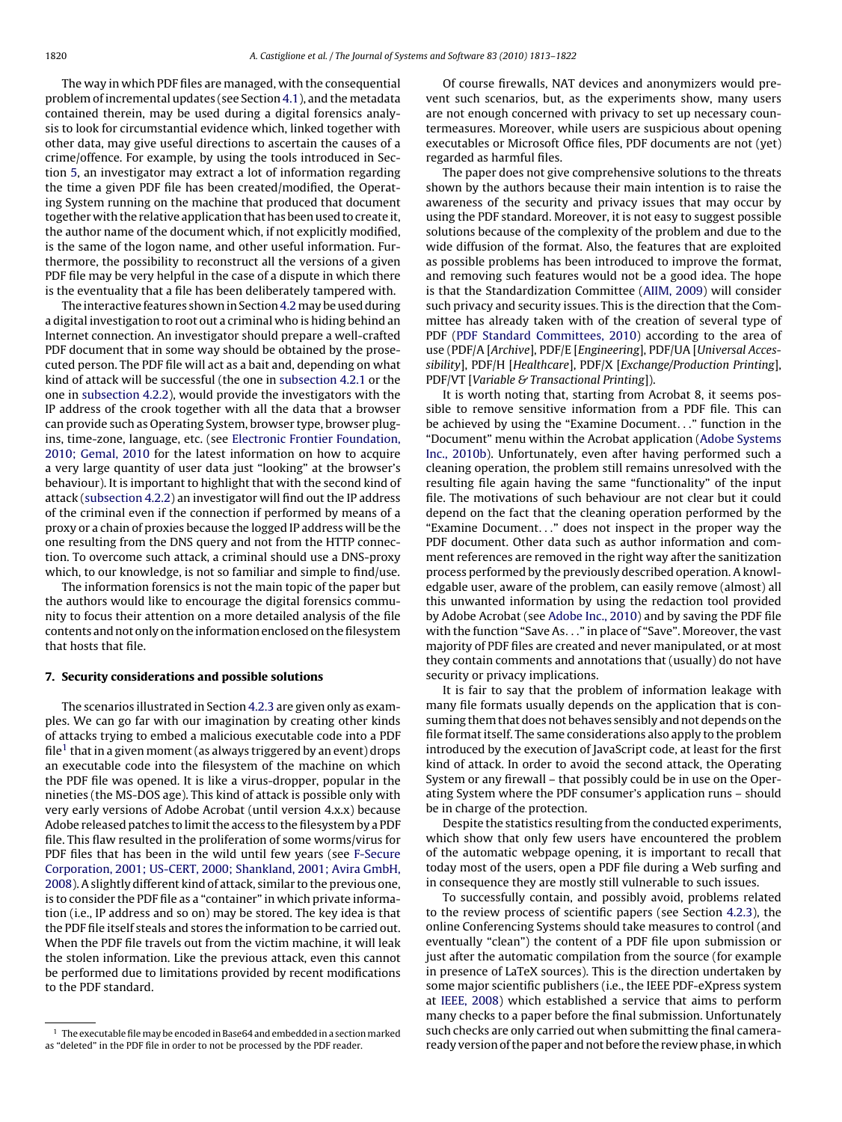<span id="page-7-0"></span>The way in which PDF files are managed, with the consequential problem of incremental updates (see Section [4.1\),](#page-2-0) and the metadata contained therein, may be used during a digital forensics analysis to look for circumstantial evidence which, linked together with other data, may give useful directions to ascertain the causes of a crime/offence. For example, by using the tools introduced in Section [5, a](#page-6-0)n investigator may extract a lot of information regarding the time a given PDF file has been created/modified, the Operating System running on the machine that produced that document together with the relative application that has been used to create it, the author name of the document which, if not explicitly modified, is the same of the logon name, and other useful information. Furthermore, the possibility to reconstruct all the versions of a given PDF file may be very helpful in the case of a dispute in which there is the eventuality that a file has been deliberately tampered with.

The interactive features shown in Section 4.2 may be used during a digital investigation to root out a criminal who is hiding behind an Internet connection. An investigator should prepare a well-crafted PDF document that in some way should be obtained by the prosecuted person. The PDF file will act as a bait and, depending on what kind of attack will be successful (the one in [subsection 4.2.1](#page-3-0) or the one in [subsection 4.2.2\),](#page-5-0) would provide the investigators with the IP address of the crook together with all the data that a browser can provide such as Operating System, browser type, browser plugins, time-zone, language, etc. (see [Electronic Frontier Foundation,](#page-8-0) [2010; Gemal, 2010](#page-8-0) for the latest information on how to acquire a very large quantity of user data just "looking" at the browser's behaviour). It is important to highlight that with the second kind of attack ([subsection 4.2.2\) a](#page-5-0)n investigator will find out the IP address of the criminal even if the connection if performed by means of a proxy or a chain of proxies because the logged IP address will be the one resulting from the DNS query and not from the HTTP connection. To overcome such attack, a criminal should use a DNS-proxy which, to our knowledge, is not so familiar and simple to find/use.

The information forensics is not the main topic of the paper but the authors would like to encourage the digital forensics community to focus their attention on a more detailed analysis of the file contents and not only on the information enclosed on the filesystem that hosts that file.

## **7. Security considerations and possible solutions**

The scenarios illustrated in Section [4.2.3](#page-5-0) are given only as examples. We can go far with our imagination by creating other kinds of attacks trying to embed a malicious executable code into a PDF file<sup>1</sup> that in a given moment (as always triggered by an event) drops an executable code into the filesystem of the machine on which the PDF file was opened. It is like a virus-dropper, popular in the nineties (the MS-DOS age). This kind of attack is possible only with very early versions of Adobe Acrobat (until version 4.x.x) because Adobe released patches to limit the access to the filesystem by a PDF file. This flaw resulted in the proliferation of some worms/virus for PDF files that has been in the wild until few years (see [F-Secure](#page-8-0) [Corporation, 2001; US-CERT, 2000; Shankland, 2001; Avira GmbH,](#page-8-0) [2008\).](#page-8-0) A slightly different kind of attack, similar to the previous one, is to consider the PDF file as a "container" in which private information (i.e., IP address and so on) may be stored. The key idea is that the PDF file itself steals and stores the information to be carried out. When the PDF file travels out from the victim machine, it will leak the stolen information. Like the previous attack, even this cannot be performed due to limitations provided by recent modifications to the PDF standard.

Of course firewalls, NAT devices and anonymizers would prevent such scenarios, but, as the experiments show, many users are not enough concerned with privacy to set up necessary countermeasures. Moreover, while users are suspicious about opening executables or Microsoft Office files, PDF documents are not (yet) regarded as harmful files.

The paper does not give comprehensive solutions to the threats shown by the authors because their main intention is to raise the awareness of the security and privacy issues that may occur by using the PDF standard. Moreover, it is not easy to suggest possible solutions because of the complexity of the problem and due to the wide diffusion of the format. Also, the features that are exploited as possible problems has been introduced to improve the format, and removing such features would not be a good idea. The hope is that the Standardization Committee [\(AIIM, 2009\)](#page-8-0) will consider such privacy and security issues. This is the direction that the Committee has already taken with of the creation of several type of PDF ([PDF Standard Committees, 2010\)](#page-8-0) according to the area of use (PDF/A [Archive], PDF/E [Engineering], PDF/UA [Universal Accessibility], PDF/H [Healthcare], PDF/X [Exchange/Production Printing], PDF/VT [Variable & Transactional Printing]).

It is worth noting that, starting from Acrobat 8, it seems possible to remove sensitive information from a PDF file. This can be achieved by using the "Examine Document..." function in the "Document" menu within the Acrobat application [\(Adobe Systems](#page-8-0) [Inc., 2010b\).](#page-8-0) Unfortunately, even after having performed such a cleaning operation, the problem still remains unresolved with the resulting file again having the same "functionality" of the input file. The motivations of such behaviour are not clear but it could depend on the fact that the cleaning operation performed by the "Examine Document..." does not inspect in the proper way the PDF document. Other data such as author information and comment references are removed in the right way after the sanitization process performed by the previously described operation. A knowledgable user, aware of the problem, can easily remove (almost) all this unwanted information by using the redaction tool provided by Adobe Acrobat (see [Adobe Inc., 2010\) a](#page-8-0)nd by saving the PDF file with the function "Save As..." in place of "Save". Moreover, the vast majority of PDF files are created and never manipulated, or at most they contain comments and annotations that (usually) do not have security or privacy implications.

It is fair to say that the problem of information leakage with many file formats usually depends on the application that is consuming them that does not behaves sensibly and not depends on the file format itself. The same considerations also apply to the problem introduced by the execution of JavaScript code, at least for the first kind of attack. In order to avoid the second attack, the Operating System or any firewall – that possibly could be in use on the Operating System where the PDF consumer's application runs – should be in charge of the protection.

Despite the statistics resulting from the conducted experiments, which show that only few users have encountered the problem of the automatic webpage opening, it is important to recall that today most of the users, open a PDF file during a Web surfing and in consequence they are mostly still vulnerable to such issues.

To successfully contain, and possibly avoid, problems related to the review process of scientific papers (see Section [4.2.3\),](#page-5-0) the online Conferencing Systems should take measures to control (and eventually "clean") the content of a PDF file upon submission or just after the automatic compilation from the source (for example in presence of LaTeX sources). This is the direction undertaken by some major scientific publishers (i.e., the IEEE PDF-eXpress system at [IEEE, 2008\)](#page-8-0) which established a service that aims to perform many checks to a paper before the final submission. Unfortunately such checks are only carried out when submitting the final cameraready version of the paper and not before the review phase, in which

 $^{\rm 1}$  The executable file may be encoded in Base 64 and embedded in a section marked as "deleted" in the PDF file in order to not be processed by the PDF reader.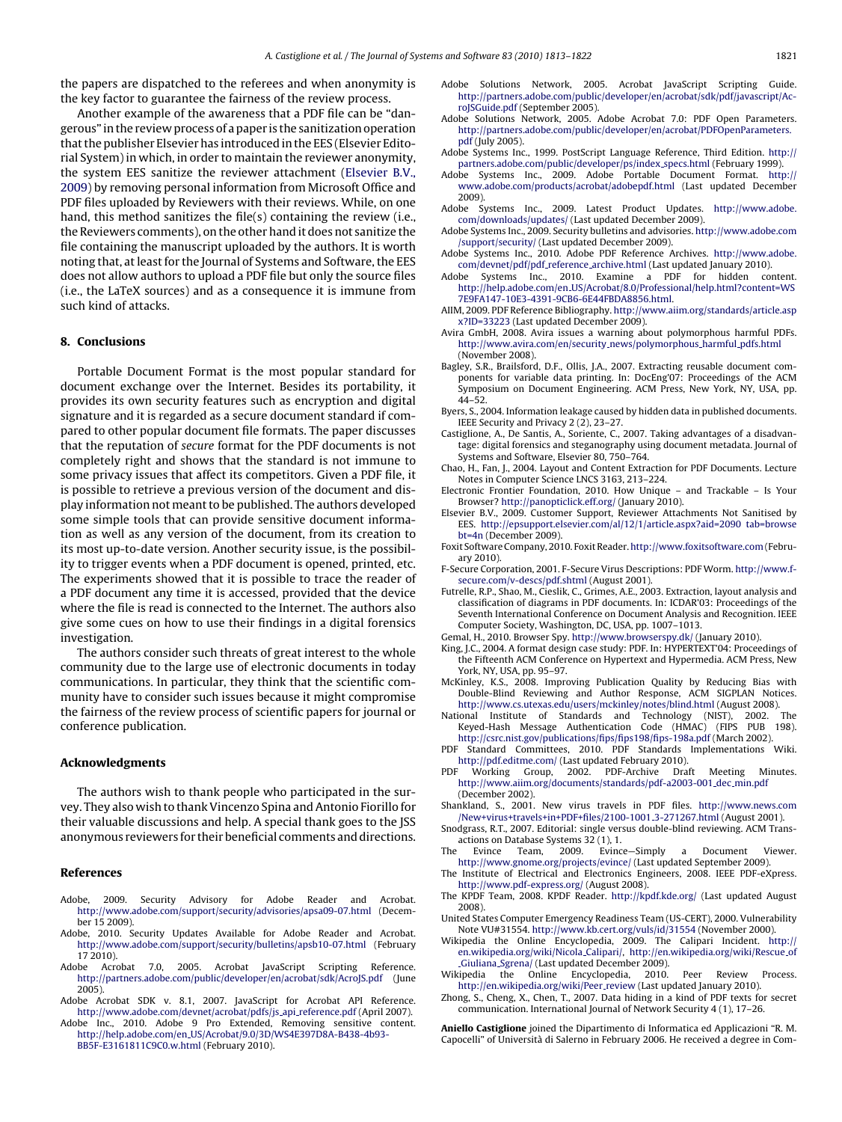<span id="page-8-0"></span>the papers are dispatched to the referees and when anonymity is the key factor to guarantee the fairness of the review process.

Another example of the awareness that a PDF file can be "dangerous" in the review process of a paper is the sanitization operation that the publisher Elsevier has introduced in the EES (Elsevier Editorial System) in which, in order to maintain the reviewer anonymity, the system EES sanitize the reviewer attachment (Elsevier B.V., 2009) by removing personal information from Microsoft Office and PDF files uploaded by Reviewers with their reviews. While, on one hand, this method sanitizes the file(s) containing the review (i.e., the Reviewers comments), on the other hand it does not sanitize the file containing the manuscript uploaded by the authors. It is worth noting that, at least for the Journal of Systems and Software, the EES does not allow authors to upload a PDF file but only the source files (i.e., the LaTeX sources) and as a consequence it is immune from such kind of attacks.

## **8. Conclusions**

Portable Document Format is the most popular standard for document exchange over the Internet. Besides its portability, it provides its own security features such as encryption and digital signature and it is regarded as a secure document standard if compared to other popular document file formats. The paper discusses that the reputation of secure format for the PDF documents is not completely right and shows that the standard is not immune to some privacy issues that affect its competitors. Given a PDF file, it is possible to retrieve a previous version of the document and display information not meant to be published. The authors developed some simple tools that can provide sensitive document information as well as any version of the document, from its creation to its most up-to-date version. Another security issue, is the possibility to trigger events when a PDF document is opened, printed, etc. The experiments showed that it is possible to trace the reader of a PDF document any time it is accessed, provided that the device where the file is read is connected to the Internet. The authors also give some cues on how to use their findings in a digital forensics investigation.

The authors consider such threats of great interest to the whole community due to the large use of electronic documents in today communications. In particular, they think that the scientific community have to consider such issues because it might compromise the fairness of the review process of scientific papers for journal or conference publication.

## **Acknowledgments**

The authors wish to thank people who participated in the survey. They also wish to thank Vincenzo Spina and Antonio Fiorillo for their valuable discussions and help. A special thank goes to the JSS anonymous reviewers for their beneficial comments and directions.

#### **References**

- Adobe, 2009. Security Advisory for Adobe Reader and Acrobat. <http://www.adobe.com/support/security/advisories/apsa09-07.html> (December 15 2009)
- Adobe, 2010. Security Updates Available for Adobe Reader and Acrobat. <http://www.adobe.com/support/security/bulletins/apsb10-07.html> (February 17 2010).<br>Adobe Acrobat 7.0. 2005.
- Acrobat JavaScript Scripting Reference. <http://partners.adobe.com/public/developer/en/acrobat/sdk/AcroJS.pdf> (June 2005).
- Adobe Acrobat SDK v. 8.1, 2007. JavaScript for Acrobat API Reference. [http://www.adobe.com/devnet/acrobat/pdfs/js](http://www.adobe.com/devnet/acrobat/pdfs/js_api_reference.pdf)\_api\_reference.pdf (April 2007).
- Adobe Inc., 2010. Adobe 9 Pro Extended, Removing sensitive content. http://help.adobe.com/en [US/Acrobat/9.0/3D/WS4E397D8A-B438-4b93-](http://help.adobe.com/en_US/Acrobat/9.0/3D/WS4E397D8A-B438-4b93-BB5F-E3161811C9C0.w.html) BB5F-E3161811C9C0.w.html (February 2010).
- Adobe Solutions Network, 2005. Acrobat JavaScript Scripting Guide. [http://partners.adobe.com/public/developer/en/acrobat/sdk/pdf/javascript/Ac](http://partners.adobe.com/public/developer/en/acrobat/sdk/pdf/javascript/AcroJSGuide.pdf)roJSGuide.pdf (September 2005).
- Adobe Solutions Network, 2005. Adobe Acrobat 7.0: PDF Open Parameters. [http://partners.adobe.com/public/developer/en/acrobat/PDFOpenParameters.](http://partners.adobe.com/public/developer/en/acrobat/PDFOpenParameters.pdf) pdf (July 2005).
- Adobe Systems Inc., 1999. PostScript Language Reference, Third Edition. [http://](http://partners.adobe.com/public/developer/ps/index_specs.html) partners.adobe.com/public/developer/ps/index specs.html (February 1999).
- Adobe Systems Inc., 2009. Adobe Portable Document Format. [http://](http://www.adobe.com/products/acrobat/adobepdf.html) www.adobe.com/products/acrobat/adobepdf.html (Last updated December 2009).
- Adobe Systems Inc., 2009. Latest Product Updates. [http://www.adobe.](http://www.adobe.com/downloads/updates/) com/downloads/updates/ (Last updated December 2009).
- Adobe Systems Inc., 2009. Security bulletins and advisories. [http://www.adobe.com](http://www.adobe.com/support/security/) /support/security/ (Last updated December 2009).
- Adobe Systems Inc., 2010. Adobe PDF Reference Archives. [http://www.adobe.](http://www.adobe.com/devnet/pdf/pdf_reference_archive.html) com/devnet/pdf/pdf.reference.archive.html (Last updated January 2010).<br>Adobe Systems Inc., 2010. Examine a PDF for hidden content.
- Systems Inc., 2010. Examine a PDF http://help.adobe.com/en [US/Acrobat/8.0/Professional/help.html?content=WS](http://help.adobe.com/en_US/Acrobat/8.0/Professional/help.html?content=WS7E9FA147-10E3-4391-9CB6-6E44FBDA8856.html) 7E9FA147-10E3-4391-9CB6-6E44FBDA8856.html.
- AIIM, 2009. PDF Reference Bibliography. [http://www.aiim.org/standards/article.asp](http://www.aiim.org/standards/article.aspx%3FID=33223) x?ID=33223 (Last updated December 2009).
- Avira GmbH, 2008. Avira issues a warning about polymorphous harmful PDFs. [http://www.avira.com/en/security](http://www.avira.com/en/security_news/polymorphous_harmful_pdfs.html) news/polymorphous harmful pdfs.html (November 2008).
- Bagley, S.R., Brailsford, D.F., Ollis, J.A., 2007. Extracting reusable document components for variable data printing. In: DocEng'07: Proceedings of the ACM Symposium on Document Engineering. ACM Press, New York, NY, USA, pp.  $44 - 52$ .
- Byers, S., 2004. Information leakage caused by hidden data in published documents. IEEE Security and Privacy  $2(2)$ ,  $23-27$ .
- Castiglione, A., De Santis, A., Soriente, C., 2007. Taking advantages of a disadvantage: digital forensics and steganography using document metadata. Journal of Systems and Software, Elsevier 80, 750–764.
- Chao, H., Fan, J., 2004. Layout and Content Extraction for PDF Documents. Lecture Notes in Computer Science LNCS 3163, 213–224.
- Electronic Frontier Foundation, 2010. How Unique and Trackable Is Your Browser? <http://panopticlick.eff.org/> (January 2010).
- Elsevier B.V., 2009. Customer Support, Reviewer Attachments Not Sanitised by EES. [http://epsupport.elsevier.com/al/12/1/article.aspx?aid=2090 tab=browse](http://epsupport.elsevier.com/al/12/1/article.aspx%3Faid=2090%20tab=browse%20bt=4n) bt=4n (December 2009).
- Foxit Software Company, 2010. Foxit Reader.[http://www.foxitsoftware.com](http://www.foxitsoftware.com/)(February 2010).
- F-Secure Corporation, 2001. F-Secure Virus Descriptions: PDF Worm. [http://www.f](http://www.f-secure.com/v-descs/pdf.shtml)secure.com/v-descs/pdf.shtml (August 2001).
- Futrelle, R.P., Shao, M., Cieslik, C., Grimes, A.E., 2003. Extraction, layout analysis and classification of diagrams in PDF documents. In: ICDAR'03: Proceedings of the Seventh International Conference on Document Analysis and Recognition. IEEE Computer Society, Washington, DC, USA, pp. 1007–1013.
- Gemal, H., 2010. Browser Spy. <http://www.browserspy.dk/> (January 2010).
- King, J.C., 2004. A format design case study: PDF. In: HYPERTEXT'04: Proceedings of the Fifteenth ACM Conference on Hypertext and Hypermedia. ACM Press, New York, NY, USA, pp. 95–97.
- McKinley, K.S., 2008. Improving Publication Quality by Reducing Bias with Double-Blind Reviewing and Author Response, ACM SIGPLAN Notices. <http://www.cs.utexas.edu/users/mckinley/notes/blind.html> (August 2008).
- National Institute of Standards and Technology (NIST), 2002. The Keyed-Hash Message Authentication Code (HMAC) (FIPS PUB 198). <http://csrc.nist.gov/publications/fips/fips198/fips-198a.pdf> (March 2002).
- PDF Standard Committees, 2010. PDF Standards Implementations Wiki. <http://pdf.editme.com/> (Last updated February 2010).
- Working Group, 2002. PDF-Archive Draft Meeting Minutes. [http://www.aiim.org/documents/standards/pdf-a2003-001](http://www.aiim.org/documents/standards/pdf-a2003-001_dec_min.pdf) dec min.pdf (December 2002).
- Shankland, S., 2001. New virus travels in PDF files. [http://www.news.com](http://www.news.com/New+virus+travels+in+PDF+files/2100-1001_3-271267.html) /New+virus+travels+in+PDF+files/2100-1001 3-271267.html (August 2001).
- Snodgrass, R.T., 2007. Editorial: single versus double-blind reviewing. ACM Trans-
- actions on Database Systems 32 (1), 1.<br>The Evince Team 2009 Evince Evince Team, 2009. Evince–Simply a Document Viewer. <http://www.gnome.org/projects/evince/> (Last updated September 2009).
- The Institute of Electrical and Electronics Engineers, 2008. IEEE PDF-eXpress. <http://www.pdf-express.org/> (August 2008).
- The KPDF Team, 2008. KPDF Reader. <http://kpdf.kde.org/> (Last updated August 2008).
- United States Computer Emergency Readiness Team (US-CERT), 2000. Vulnerability Note VU#31554. <http://www.kb.cert.org/vuls/id/31554> (November 2000).
- Wikipedia the Online Encyclopedia, 2009. The Calipari Incident. [http://](http://en.wikipedia.org/wiki/Nicola_Calipari/) en.wikipedia.org/wiki/Nicola Calipari/, [http://en.wikipedia.org/wiki/Rescue](http://en.wikipedia.org/wiki/Rescue_of_Giuliana_Sgrena/) of Giuliana Sgrena/ (Last updated December 2009).
- Wikipedia the Online Encyclopedia, 2010. Peer Review Process. [http://en.wikipedia.org/wiki/Peer](http://en.wikipedia.org/wiki/Peer_review)\_review (Last updated January 2010).
- Zhong, S., Cheng, X., Chen, T., 2007. Data hiding in a kind of PDF texts for secret communication. International Journal of Network Security 4 (1), 17–26.

**Aniello Castiglione** joined the Dipartimento di Informatica ed Applicazioni "R. M. Capocelli" of Università di Salerno in February 2006. He received a degree in Com